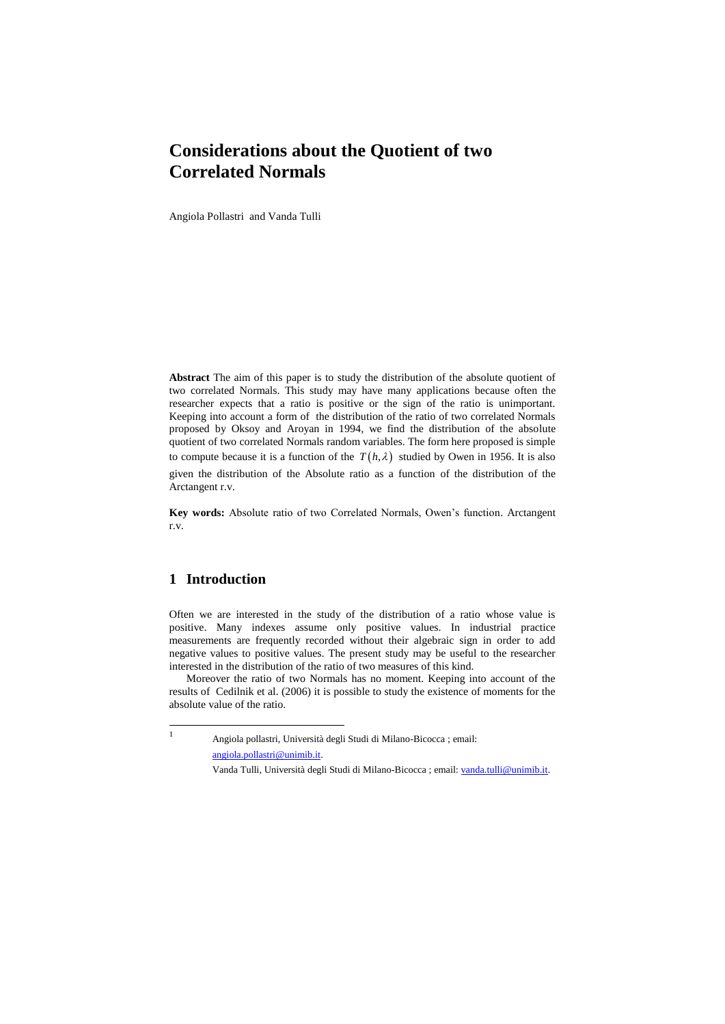# **Considerations about the Quotient of two Correlated Normals**

Angiola Pollastri and Vanda Tulli

**Abstract** The aim of this paper is to study the distribution of the absolute quotient of two correlated Normals. This study may have many applications because often the researcher expects that a ratio is positive or the sign of the ratio is unimportant. Keeping into account a form of the distribution of the ratio of two correlated Normals proposed by Oksoy and Aroyan in 1994, we find the distribution of the absolute quotient of two correlated Normals random variables. The form here proposed is simple to compute because it is a function of the  $T(h,\lambda)$  studied by Owen in 1956. It is also given the distribution of the Absolute ratio as a function of the distribution of the Arctangent r.v.

**Key words:** Absolute ratio of two Correlated Normals, Owen's function. Arctangent r.v.

## **1 Introduction**

1

Often we are interested in the study of the distribution of a ratio whose value is positive. Many indexes assume only positive values. In industrial practice measurements are frequently recorded without their algebraic sign in order to add negative values to positive values. The present study may be useful to the researcher interested in the distribution of the ratio of two measures of this kind.

Moreover the ratio of two Normals has no moment. Keeping into account of the results of Cedilnik et al. (2006) it is possible to study the existence of moments for the absolute value of the ratio.

Angiola pollastri, Università degli Studi di Milano-Bicocca ; email: [angiola.pollastri@unimib.it.](mailto:angiola.pollastri@unimib.it)

Vanda Tulli, Università degli Studi di Milano-Bicocca ; email[: vanda.tulli@unimib.it.](mailto:vanda.tulli@unimib.it)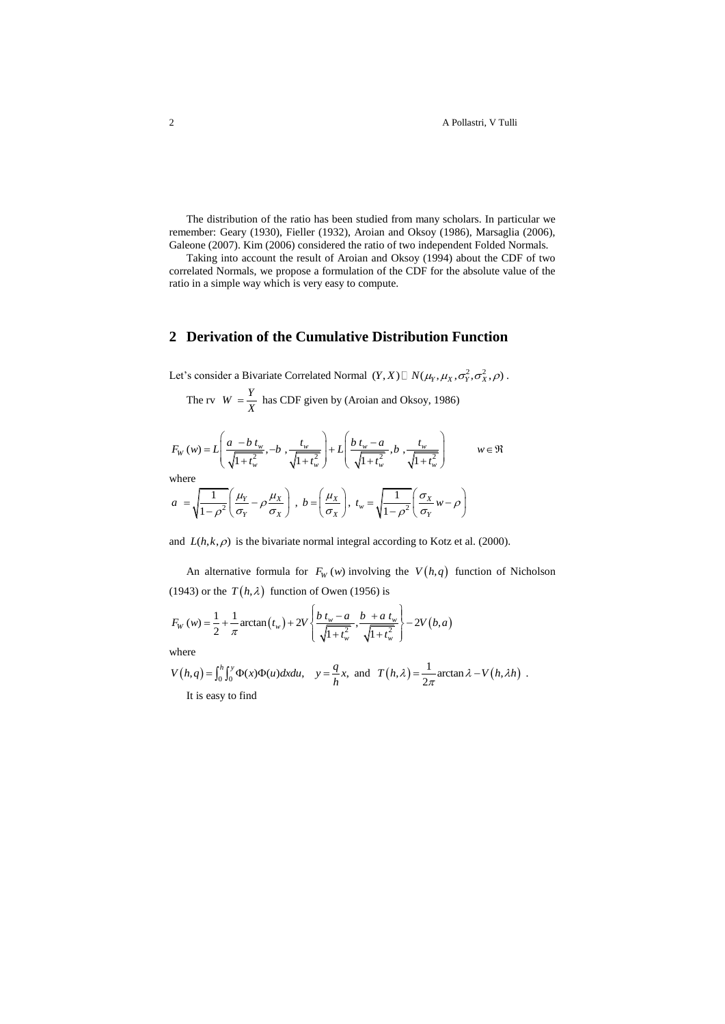2 A Pollastri, V Tulli

The distribution of the ratio has been studied from many scholars. In particular we remember: Geary (1930), Fieller (1932), Aroian and Oksoy (1986), Marsaglia (2006), Galeone (2007). Kim (2006) considered the ratio of two independent Folded Normals.

Taking into account the result of Aroian and Oksoy (1994) about the CDF of two correlated Normals, we propose a formulation of the CDF for the absolute value of the ratio in a simple way which is very easy to compute.

# **2 Derivation of the Cumulative Distribution Function**

Let's consider a Bivariate Correlated Normal  $(Y, X) \square N(\mu_Y, \mu_X, \sigma_Y^2, \sigma_X^2, \rho)$ .

The rv 
$$
W = \frac{Y}{X}
$$
 has CDF given by (Aroian and Oksoy, 1986)

$$
K
$$
  
\n
$$
F_W(w) = L\left(\frac{a - b t_w}{\sqrt{1 + t_w^2}}, -b, \frac{t_w}{\sqrt{1 + t_w^2}}\right) + L\left(\frac{b t_w - a}{\sqrt{1 + t_w^2}}, b, \frac{t_w}{\sqrt{1 + t_w^2}}\right) \qquad w \in \Re
$$
  
\nwhere

$$
a = \sqrt{\frac{1}{1 - \rho^2}} \left( \frac{\mu_Y}{\sigma_Y} - \rho \frac{\mu_X}{\sigma_X} \right), b = \left( \frac{\mu_X}{\sigma_X} \right), t_w = \sqrt{\frac{1}{1 - \rho^2}} \left( \frac{\sigma_X}{\sigma_Y} w - \rho \right)
$$

and  $L(h, k, \rho)$  is the bivariate normal integral according to Kotz et al. (2000).

An alternative formula for  $F_W(w)$  involving the  $V(h,q)$  function of Nicholson

(1943) or the 
$$
T(h, \lambda)
$$
 function of Owen (1956) is  
\n
$$
F_W(w) = \frac{1}{2} + \frac{1}{\pi} \arctan(t_w) + 2V \left\{ \frac{b t_w - a}{\sqrt{1 + t_w^2}}, \frac{b + a t_w}{\sqrt{1 + t_w^2}} \right\} - 2V(b, a)
$$

where

$$
V(h,q) = \int_0^h \int_0^y \Phi(x) \Phi(u) dx du, \quad y = \frac{q}{h} x, \text{ and } T(h,\lambda) = \frac{1}{2\pi} \arctan \lambda - V(h,\lambda h) .
$$

It is easy to find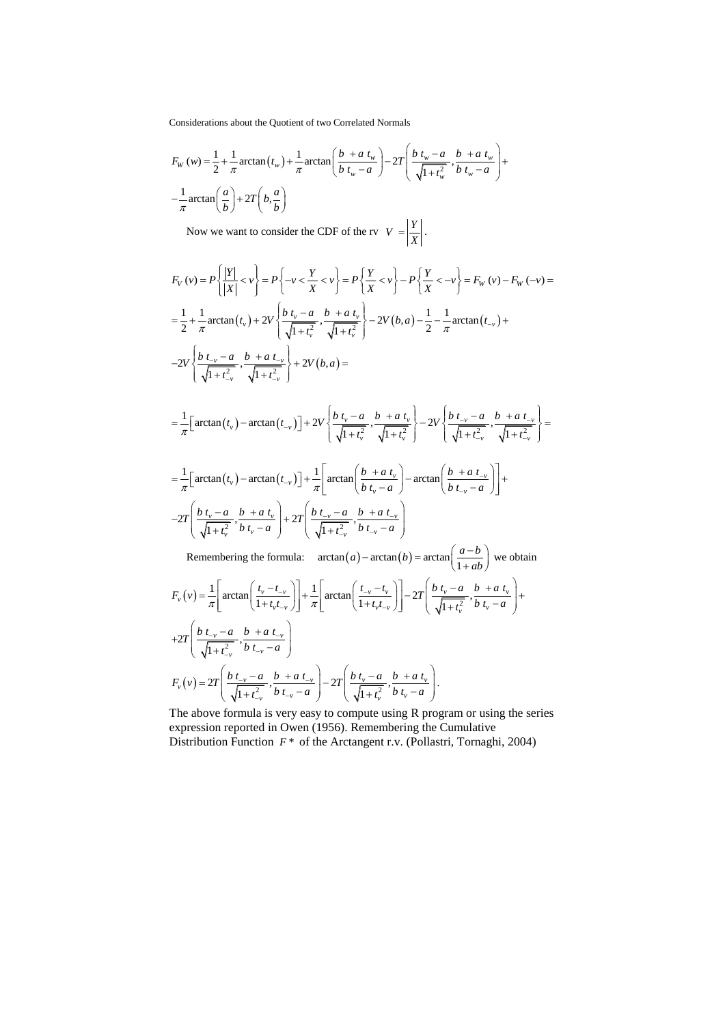Considerations about the Quotient of two Correlated Normals

Considerations about the Quotient of two Correlated Normals  
\n
$$
F_W(w) = \frac{1}{2} + \frac{1}{\pi} \arctan(t_w) + \frac{1}{\pi} \arctan\left(\frac{b + a t_w}{b t_w - a}\right) - 2T \left(\frac{b t_w - a}{\sqrt{1 + t_w^2}}, \frac{b + a t_w}{b t_w - a}\right) + \frac{1}{\pi} \arctan\left(\frac{a}{b}\right) + 2T \left(b, \frac{a}{b}\right)
$$

Now we want to consider the CDF of the rv 
$$
V = \left| \frac{Y}{X} \right|
$$
.  
\n
$$
F_V(v) = P \left\{ \frac{|Y|}{|X|} < v \right\} = P \left\{ -v < \frac{Y}{X} < v \right\} = P \left\{ \frac{Y}{X} < v \right\} - P \left\{ \frac{Y}{X} < -v \right\} = F_W(v) - F_W(-v) =
$$
\n
$$
= \frac{1}{2} + \frac{1}{\pi} \arctan(t_v) + 2V \left\{ \frac{b \ t_v - a}{\sqrt{1 + t_v^2}}, \frac{b + a \ t_v}{\sqrt{1 + t_v^2}} \right\} - 2V(b, a) - \frac{1}{2} - \frac{1}{\pi} \arctan(t_{-v}) +
$$
\n
$$
-2V \left\{ \frac{b \ t_{-v} - a}{\sqrt{1 + t_{-v}^2}}, \frac{b + a \ t_{-v}}{\sqrt{1 + t_{-v}^2}} \right\} + 2V(b, a) =
$$

$$
\begin{aligned}\n\left(\sqrt{1+t_{-v}}\sqrt{1+t_{-v}}\right) &= \frac{1}{\pi} \Big[ \arctan\big(t_v\big) - \arctan\big(t_{-v}\big) \Big] + 2V \left\{ \frac{b \ t_v - a}{\sqrt{1+t_v^2}}, \frac{b + a \ t_v}{\sqrt{1+t_v^2}} \right\} - 2V \left\{ \frac{b \ t_{-v} - a}{\sqrt{1+t_{-v}^2}}, \frac{b + a \ t_{-v}}{\sqrt{1+t_{-v}^2}} \right\} \Big] \\
&= \frac{1}{\pi} \Big[ \arctan\big(t_v\big) - \arctan\big(t_{-v}\big) \Big] + \frac{1}{\pi} \Big[ \arctan\big(\frac{b + a \ t_v}{\sqrt{1+t_{-v}^2}} \big) - \arctan\big(\frac{b + a \ t_{-v}}{\sqrt{1+t_{-v}^2}} \big) \Big] + \frac{1}{\pi} \Big[ \arctan\big(t_v\big) - \arctan\big(t_v\big) \Big] + \frac{1}{\pi} \Big[ \arctan\big(t_v\big) - \arctan\big(t_v\big) \Big] + \frac{1}{\pi} \Big[ \arctan\big(t_v\big) - \arctan\big(t_v\big) \Big] + \frac{1}{\pi} \Big[ \arctan\big(t_v\big) - \arctan\big(t_v\big) \Big] + \frac{1}{\pi} \Big[ \arctan\big(t_v\big) - \arctan\big(t_v\big) \Big] + \frac{1}{\pi} \Big[ \arctan\big(t_v\big) - \arctan\big(t_v\big) \Big] + \frac{1}{\pi} \Big[ \arctan\big(t_v\big) - \arctan\big(t_v\big) \Big] + \frac{1}{\pi} \Big[ \arctan\big(t_v\big) - \arctan\big(t_v\big) \Big] + \frac{1}{\pi} \Big[ \arctan\big(t_v\big) - \arctan\big(t_v\big) \Big] + \frac{1}{\pi} \Big[ \arctan\big(t_v\big) - \arctan\big(t_v\big) \Big] + \frac{1}{\pi} \Big[ \arctan\big(t_v\big) - \arctan\big(t_v\big) \Big] + \frac{1}{\pi} \Big[ \arctan\big(t_v\big) - \arctan\big(t_v\
$$

$$
= \frac{1}{\pi} \Big[ \arctan(t_v) - \arctan(t_{-v}) \Big] + \frac{1}{\pi} \Bigg[ \arctan\Big(\frac{b + a t_v}{b t_v - a}\Big) - \arctan\Big(\frac{b + a t_{-v}}{b t_{-v} - a}\Big) \Bigg] +
$$
  
-2T \Bigg( \frac{b t\_v - a}{\sqrt{1 + t\_v^2}}, \frac{b + a t\_v}{b t\_v - a} \Bigg) + 2T \Bigg( \frac{b t\_{-v} - a}{\sqrt{1 + t\_{-v}^2}}, \frac{b + a t\_{-v}}{b t\_{-v} - a} \Bigg) \Bigg] \tag{6.1b}

Remembering the formula:  $\arctan(a) - \arctan(b) = \arctan\left(\frac{a-b}{1+ab}\right)$  $-\arctan(b) = \arctan\left(\frac{a-b}{1+ab}\right)$  we we obtain Remembering the formula:  $\arctan(a) - \arctan(b) = \arctan\left(\frac{1}{1+ab}\right)$  we<br>  $\int_{v}^{b} (v) = \frac{1}{\pi} \left[ \arctan\left(\frac{t_v - t_v}{1 + t_v t_{-v}}\right) \right] + \frac{1}{\pi} \left[ \arctan\left(\frac{t_{-v} - t_v}{1 + t_v t_{-v}}\right) \right] - 2T \left( \frac{b t_v - a}{\sqrt{1 + t_v^2}}, \frac{b + a t_v}{b t_v - a} \right)$  $2T\left(\frac{b t_{-v} - a}{\sqrt{1+t_{-v}^2}},\right)$  $\left[\frac{t_{\nu}}{t_{\nu}t_{\nu}}\right]\right]+\frac{1}{\pi}\left[\arctan\left(\frac{t_{\nu}-t_{\nu}}{1+t_{\nu}t_{\nu}}\right)\right]-2T\left(\frac{bt_{\nu}-a}{\sqrt{1+t_{\nu}^2}},\frac{b-a}{b}\right)$  $\frac{v-a}{v}$ ,  $\frac{b+a t_{-v}}{v}$  $\int v \cdot v_{-\nu}$ Remembering the formula:  $\arctan(a) - \arctan(b) = \arctan\left(\frac{1}{1+ab}\right)$  we<br>  $F_v(v) = \frac{1}{\pi} \left[ \arctan\left(\frac{t_v - t_{-v}}{1 + t_v t_{-v}}\right) \right] + \frac{1}{\pi} \left[ \arctan\left(\frac{t_{-v} - t_v}{1 + t_v t_{-v}}\right) \right] - 2T \left( \frac{b t_v - a}{\sqrt{1 + t_v^2}}, \frac{b + a t}{b t_v - a} \right)$  $\pi$ <sup>2</sup>  $\left(1+t$ <sub>1</sub><br> $\frac{b}{t}$   $\frac{b}{t}$   $\frac{b}{t}$   $\frac{a}{t}$   $\frac{b}{t}$  $\frac{f_{-v} - a}{1 + t_{-v}^2}$ ,  $\frac{b + a t_{-v}}{b t_{-v} - a}$  $\left[\frac{-v}{-v}\right]\right]+\frac{1}{\pi}\left[\arctan\left(\frac{t_{-v}-t_{v}}{1+t_{v}t_{-v}}\right)\right] \pi$   $\left[ (1+t_v t_{-v}) \right]$   $\pi$   $\left[ +2T \left( \frac{b t_{-v} - a}{\sqrt{1+t_{-v}^2}}, \frac{b + a t_{-v}}{b t_{-v} - a} \right) \right]$ membering the formula:  $\arctan(a) - \arctan(b) = \arctan\left(\frac{a-b}{1+ab}\right)$  we obtain<br>=  $\frac{1}{\pi} \left[ \arctan\left(\frac{t_v - t_{-v}}{1+t_v t_{-v}}\right) \right] + \frac{1}{\pi} \left[ \arctan\left(\frac{t_{-v} - t_{v}}{1+t_v t_{-v}}\right) \right] - 2T \left( \frac{b \ t_v - a}{\sqrt{1+t_v^2}}, \frac{b + a \ t_v}{b \ t_v - a} \right) +$  $\left[\arctan\left(\frac{t_v - t_{-v}}{1 + t_v t_{-v}}\right)\right] + \frac{1}{\pi} \left[\arctan\left(\frac{t_{-v} - t_v}{1 + t_v t_{-v}}\right)\right] - 2T \left(\frac{b t_v - a}{\sqrt{1 + t_v^2}}, \frac{b + a t_v}{b t_v - a}\right) +$  $y = \frac{1}{\pi} \left[ \arctan\left( \frac{1+t_v t_{-v}}{1+t_v t_{-v}} \right) \right] + \frac{1}{\pi} \left[ \arctan\left( \frac{b}{1+t_v t_{-v}} \right) \right]$  $\left(\frac{b t_{-v} - a}{\sqrt{1+t_{-v}^2}}, \frac{b + a t_{-v}}{b t_{-v} - a}\right)$  $(v) = 2T\left(\frac{b t_{-v} - a}{\sqrt{1+t^2}}, \frac{b + a t_{-v}}{b t_{-v} - a}\right) - 2T\left(\frac{b t_{v} - a}{\sqrt{1+t^2}}, \frac{b t_{v} - a}{c t_{-v}}\right)$  $\sum_{v}(v) = 2T\left(\frac{b t_{-v} - a}{\sqrt{1+t_{-v}^2}}, \frac{b + a t_{-v}}{b t_{-v} - a}\right) - 2T\left(\frac{b t_{v} - a}{\sqrt{1+t_{v}^2}}, \frac{b + a t_{v}}{b t_{v} - a}\right)$  $F_v(v) = 2T\left(\frac{b t_{-v} - a}{b_{-v}^2}, \frac{b + a t_{-v}}{b_{-v} - a}\right) - 2T\left(\frac{b t_{v} - a}{b_{-v}^2}, \frac{b + a t_{-v}}{b_{-v} - a}\right)$  $\frac{f_{-v} - a}{1 + t_{-v}^2}$ ,  $\frac{b + a t_{-v}}{b t_{-v} - a}$   $- 2T \left( \frac{b t_v - a}{\sqrt{1 + t_v^2}}, \frac{b + a t}{b t_v - a} \right)$  $\frac{1}{-v}$   $U_l$  $\sqrt{1+t_{-v}^2}$   $\qquad b t_{-v} - a$ <br>=  $2T\left(\frac{b t_{-v} - a}{\sqrt{1+t_{-v}^2}}, \frac{b + a t_{-v}}{b t_{-v} - a}\right) - 2T\left(\frac{b t_{v} - a}{\sqrt{1+t_{v}^2}}, \frac{b + a t_{v}}{b t_{v} - a}\right).$ .

The above formula is very easy to compute using R program or using the series expression reported in Owen (1956). Remembering the Cumulative Distribution Function  $F^*$  of the Arctangent r.v. (Pollastri, Tornaghi, 2004)